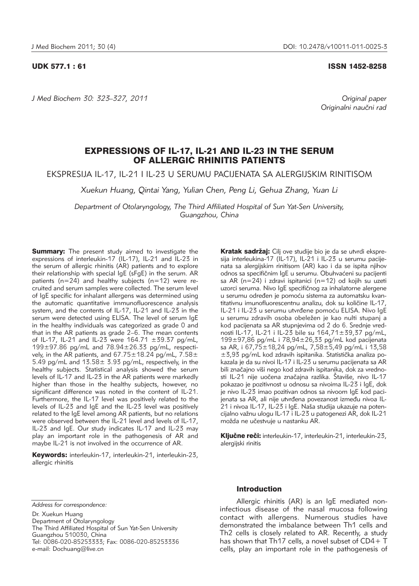*J Med Biochem 30: 323–327, 2011 Original paper*

## UDK 577.1 : 61 ISSN 1452-8258

Originalni naučni rad

# EXPRESSIONS OF IL-17, IL-21 AND IL-23 IN THE SERUM OF ALLERGIC RHINITIS PATIENTS

EKSPRESIJA IL-17, IL-21 I IL-23 U SERUMU PACIJENATA SA ALERGIJSKIM RINITISOM

*Xuekun Huang, Qintai Yang, Yulian Chen, Peng Li, Gehua Zhang, Yuan Li*

*Department of Otolaryngology, The Third Affiliated Hospital of Sun Yat-Sen University, Guangzhou, China*

**Summary:** The present study aimed to investigate the expressions of interleukin-17 (IL-17), IL-21 and IL-23 in the serum of allergic rhinitis (AR) patients and to explore their relationship with special IgE (sFgE) in the serum. AR patients ( $n=24$ ) and healthy subjects ( $n=12$ ) were recruited and serum samples were collected. The serum level of IgE specific for inhalant allergens was determined using the automatic quantitative immunofluorescence analysis system, and the contents of IL-17, IL-21 and IL-23 in the serum were detected using ELISA. The level of serum IgE in the healthy individuals was categorized as grade 0 and that in the  $AR$  patients as grade  $2-6$ . The mean contents of IL-17, IL-21 and IL-23 were 164.71 ±39.37 pg/mL,  $199\pm97.86$  pg/mL and  $78.94\pm26.33$  pg/mL, respectively, in the AR patients, and  $67.75 \pm 18.24$  pg/mL,  $7.58 \pm$ 5.49 pg/mL and  $13.58 \pm 3.93$  pg/mL, respectively, in the healthy subjects. Statistical analysis showed the serum levels of IL-17 and IL-23 in the AR patients were markedly higher than those in the healthy subjects, however, no significant difference was noted in the content of IL-21. Furthermore, the IL-17 level was positively related to the levels of IL-23 and IgE and the IL-23 level was positively related to the IgE level among AR patients, but no relations were observed between the IL-21 level and levels of IL-17, IL-23 and IgE. Our study indicates IL-17 and IL-23 may play an important role in the pathogenesis of AR and maybe IL-21 is not involved in the occurrence of AR.

Keywords: interleukin-17, interleukin-21, interleukin-23, allergic rhinitis

Kratak sadržaj: Cilj ove studije bio je da se utvrdi ekspresija interleukina-17 (IL-17), IL-21 i IL-23 u serumu pacijenata sa alergijskim rinitisom (AR) kao i da se ispita njihov odnos sa specifičnim IgE u serumu. Obuhvaćeni su pacijenti sa AR (n=24) i zdravi ispitanici (n=12) od kojih su uzeti uzorci seruma. Nivo IgE specifičnog za inhalatorne alergene u serumu određen je pomoću sistema za automatsku kvantitativnu imunofluorescentnu analizu, dok su količine IL-17, IL-21 i IL-23 u serumu utvrđene pomoću ELISA. Nivo IgE u serumu zdravih osoba obeležen je kao nulti stupanj a kod pacijenata sa AR stupnjevima od 2 do 6. Srednje vred nosti IL-17, IL-21 i IL-23 bile su 164,71±39,37 pg/mL, 199±97,86 pg/mL i 78,94±26,33 pg/mL kod pacijenata sa AR, i 67,75±18,24 pg/mL, 7,58±5,49 pg/mL i 13,58  $±3,93$  pg/mL kod zdravih ispitanika. Statistička analiza poka zala je da su nivoi IL-17 i IL-23 u serumu pacijenata sa AR bili značajno viši nego kod zdravih ispitanika, dok za vrednosti IL-21 nije uočena značajna razlika. Štaviše, nivo IL-17 pokazao je pozitivnost u odnosu sa nivoima IL-23 i IgE, dok je nivo IL-23 imao pozitivan odnos sa nivoom IgE kod pacijenata sa AR, ali nije utvrđena povezanost između nivoa IL-21 i nivoa IL-17, IL-23 i IgE. Naša studija ukazuje na potencijalno važnu ulogu IL-17 i IL-23 u patogenezi AR, dok IL-21 možda ne učestvuje u nastanku AR.

Ključne reči: interleukin-17, interleukin-21, interleukin-23, alergijski rinitis

Department of Otolaryngology

The Third Affiliated Hospital of Sun Yat-Sen University Guangzhou 510030, China Tel: 0086-020-85253333; Fax: 0086-020-85253336 e-mail: Dochuang@live.cn

## Introduction

Allergic rhinitis (AR) is an IgE mediated noninfectious disease of the nasal mucosa following contact with allergens. Numerous studies have demonstrated the imbalance between Th1 cells and Th2 cells is closely related to AR. Recently, a study has shown that Th17 cells, a novel subset of CD4+ T cells, play an important role in the pathogenesis of

*Address for correspondence:*

Dr. Xuekun Huang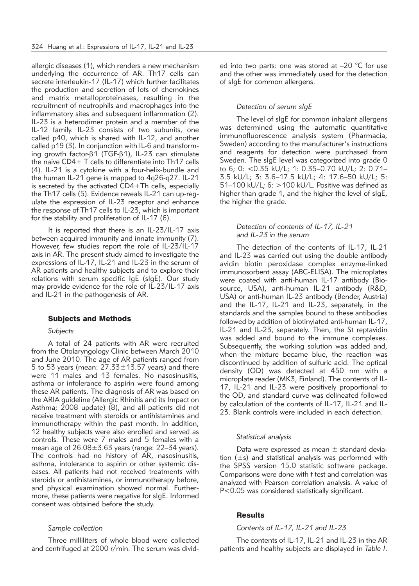allergic diseases (1), which renders a new mechanism underlying the occurrence of AR. Th17 cells can secrete interleukin-17 (IL-17) which further facilitates the production and secretion of lots of chemokines and matrix metalloproteinases, resulting in the recruitment of neutrophils and macrophages into the inflammatory sites and subsequent inflammation (2). IL-23 is a heterodimer protein and a member of the IL-12 family. IL-23 consists of two subunits, one called p40, which is shared with IL-12, and another called p19 (3). In conjunction with IL-6 and transforming growth factor- $\beta$ 1 (TGF- $\beta$ 1), IL-23 can stimulate the naive CD4+ T cells to differentiate into Th17 cells (4). IL-21 is a cytokine with a four-helix-bundle and the human IL-21 gene is mapped to 4q26-q27. IL-21 is secreted by the activated CD4+Th cells, especially the Th17 cells (5). Evidence reveals IL-21 can up-regulate the expression of IL-23 receptor and enhance the response of Th17 cells to IL-23, which is important for the stability and proliferation of IL-17 (6).

It is reported that there is an IL-23/IL-17 axis between acquired immunity and innate immunity (7). However, few studies report the role of IL-23/IL-17 axis in AR. The present study aimed to investigate the expressions of IL-17, IL-21 and IL-23 in the serum of AR patients and healthy subjects and to explore their relations with serum specific IgE (sIgE). Our study may provide evidence for the role of IL-23/IL-17 axis and IL-21 in the pathogenesis of AR.

#### Subjects and Methods

#### *Subjects*

A total of 24 patients with AR were recruited from the Otolaryngology Clinic between March 2010 and June 2010. The age of AR patients ranged from 5 to 53 years (mean:  $27.33 \pm 13.57$  years) and there were 11 males and 13 females. No nasosinusitis, asthma or intolerance to aspirin were found among these AR patients. The diagnosis of AR was based on the ARIA guideline (Allergic Rhinitis and its Impact on Asthma; 2008 update) (8), and all patients did not receive treatment with steroids or antihistamines and immunotherapy within the past month. In addition, 12 healthy subjects were also enrolled and served as controls. These were 7 males and 5 females with a mean age of  $26.08 \pm 3.63$  years (range:  $22-34$  years). The controls had no history of AR, nasosinusitis, asthma, intolerance to aspirin or other systemic diseases. All patients had not received treatments with steroids or antihistamines, or immunotherapy before, and physical examination showed normal. Furthermore, these patients were negative for sIgE. Informed consent was obtained before the study.

#### *Sample collection*

Three milliliters of whole blood were collected and centrifuged at 2000 r/min. The serum was divided into two parts: one was stored at –20 °C for use and the other was immediately used for the detection of sIgE for common allergens.

#### *Detection of serum sIgE*

The level of sIgE for common inhalant allergens was determined using the automatic quantitative immunofluorescence analysis system (Pharmacia, Sweden) according to the manufacturer's instructions and reagents for detection were purchased from Sweden. The sIgE level was categorized into grade 0 to 6; 0: <0.35 kU/L; 1: 0.35–0.70 kU/L; 2: 0.71– 3.5 kU/L; 3: 3.6–17.5 kU/L; 4: 17.6–50 kU/L; 5: 51–100 kU/L; 6: >100 kU/L. Positive was defined as higher than grade 1, and the higher the level of sIgE, the higher the grade.

### *Detection of contents of IL-17, IL-21 and IL-23 in the serum*

The detection of the contents of IL-17, IL-21 and IL-23 was carried out using the double antibody avidin biotin peroxidase complex enzyme-linked immunosorbent assay (ABC-ELISA). The microplates were coated with anti-human IL-17 antibody (Biosource, USA), anti-human IL-21 antibody (R&D, USA) or anti-human IL-23 antibody (Bender, Austria) and the IL-17, IL-21 and IL-23, separately, in the standards and the samples bound to these antibodies followed by addition of biotinylated anti-human IL-17, IL-21 and IL-23, separately. Then, the St reptavidin was added and bound to the immune complexes. Subsequently, the working solution was added and, when the mixture became blue, the reaction was discontinued by addition of sulfuric acid. The optical density (OD) was detected at 450 nm with a microplate reader (MK3, Finland). The contents of IL-17, IL-21 and IL-23 were positively proportional to the OD, and standard curve was delineated followed by calculation of the contents of IL-17, IL-21 and IL-23. Blank controls were included in each detection.

#### *Statistical analysis*

Data were expressed as mean  $\pm$  standard deviation (±s) and statistical analysis was performed with the SPSS version 15.0 statistic software package. Comparisons were done with t test and correlation was analyzed with Pearson correlation analysis. A value of P<0.05 was considered statistically significant.

### **Results**

# *Contents of IL-17, IL-21 and IL-23*

The contents of IL-17, IL-21 and IL-23 in the AR patients and healthy subjects are displayed in *Table I*.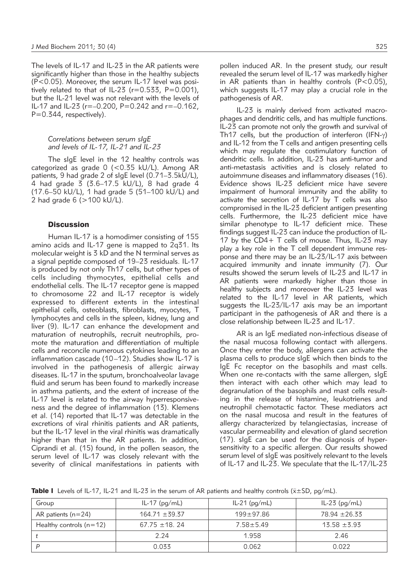The levels of IL-17 and IL-23 in the AR patients were significantly higher than those in the healthy subjects  $(P<0.05)$ . Moreover, the serum IL-17 level was positively related to that of IL-23 ( $r=0.533$ ,  $P=0.001$ ), but the IL-21 level was not relevant with the levels of IL-17 and IL-23 ( $r=-0.200$ ,  $P=0.242$  and  $r=-0.162$ . P=0.344, respectively).

*Correlations between serum sIgE and levels of IL-17, IL-21 and IL-23*

The sIgE level in the 12 healthy controls was categorized as grade 0 (<0.35 kU/L). Among AR patients, 9 had grade 2 of sIgE level (0.71–3.5kU/L), 4 had grade 3 (3.6–17.5 kU/L), 8 had grade 4 (17.6–50 kU/L), 1 had grade 5 (51–100 kU/L) and 2 had grade 6 (>100 kU/L).

### **Discussion**

Human IL-17 is a homodimer consisting of 155 amino acids and IL-17 gene is mapped to  $2q31$ . Its molecular weight is 3 kD and the N terminal serves as a signal peptide composed of 19–23 residuals. IL-17 is produced by not only Th17 cells, but other types of cells including thymocytes, epithelial cells and endothelial cells. The IL-17 receptor gene is mapped to chromosome 22 and IL-17 receptor is widely expressed to different extents in the intestinal epithelial cells, osteoblasts, fibroblasts, myocytes, T lymphocytes and cells in the spleen, kidney, lung and liver (9). IL-17 can enhance the development and maturation of neutrophils, recruit neutrophils, promote the maturation and differentiation of multiple cells and reconcile numerous cytokines leading to an inflammation cascade (10–12). Studies show IL-17 is involved in the pathogenesis of allergic airway diseases. IL-17 in the sputum, bronchoalveolar lavage fluid and serum has been found to markedly increase in asthma patients, and the extent of increase of the IL-17 level is related to the airway hyperresponsiveness and the degree of inflammation (13). Klemens et al. (14) reported that IL-17 was detectable in the excretions of viral rhinitis patients and AR patients, but the IL-17 level in the viral rhinitis was dramatically higher than that in the AR patients. In addition, Ciprandi et al. (15) found, in the pollen season, the serum level of IL-17 was closely relevant with the severity of clinical manifestations in patients with

IL-23 is mainly derived from activated macrophages and dendritic cells, and has multiple functions. IL-23 can promote not only the growth and survival of Th17 cells, but the production of interferon (IFN- $\gamma$ ) and IL-12 from the T cells and antigen presenting cells which may regulate the costimulatory function of dendritic cells. In addition, IL-23 has anti-tumor and anti-metastasis activities and is closely related to autoimmune diseases and inflammatory diseases (16). Evidence shows IL-23 deficient mice have severe impairment of humoral immunity and the ability to activate the secretion of IL-17 by T cells was also compromised in the IL-23 deficient antigen presenting cells. Furthermore, the IL-23 deficient mice have similar phenotype to IL-17 deficient mice. These findings suggest IL-23 can induce the production of IL-17 by the CD4+ T cells of mouse. Thus, IL-23 may play a key role in the T cell dependent immune response and there may be an IL-23/IL-17 axis between acquired immunity and innate immunity (7). Our results showed the serum levels of IL-23 and IL-17 in AR patients were markedly higher than those in healthy subjects and moreover the IL-23 level was related to the IL-17 level in AR patients, which suggests the IL-23/IL-17 axis may be an important participant in the pathogenesis of AR and there is a close relationship between IL-23 and IL-17.

AR is an IgE mediated non-infectious disease of the nasal mucosa following contact with allergens. Once they enter the body, allergens can activate the plasma cells to produce sIgE which then binds to the IgE Fc receptor on the basophils and mast cells. When one re-contacts with the same allergen, sIgE then interact with each other which may lead to degranulation of the basophils and mast cells resulting in the release of histamine, leukotrienes and neutrophil chemotactic factor. These mediators act on the nasal mucosa and result in the features of allergy characterized by telangiectasias, increase of vascular permeability and elevation of gland secretion (17). sIgE can be used for the diagnosis of hypersensitivity to a specific allergen. Our results showed serum level of sIgE was positively relevant to the levels of IL-17 and IL-23. We speculate that the IL-17/IL-23

Table I Levels of IL-17, IL-21 and IL-23 in the serum of AR patients and healthy controls ( $\bar{x} \pm SD$ , pg/mL).

| Group                     | IL-17 $(pq/mL)$    | IL-21 (pg/mL) | $IL-23$ (pg/mL)  |
|---------------------------|--------------------|---------------|------------------|
| AR patients ( $n=24$ )    | $164.71 \pm 39.37$ | $199 + 97.86$ | 78.94 ± 26.33    |
| Healthy controls $(n=12)$ | $67.75 \pm 18.24$  | $7.58 + 5.49$ | $15.58 \pm 5.93$ |
|                           | 2.24               | 1.958         | 2.46             |
| D                         | 0.033              | 0.062         | 0.022            |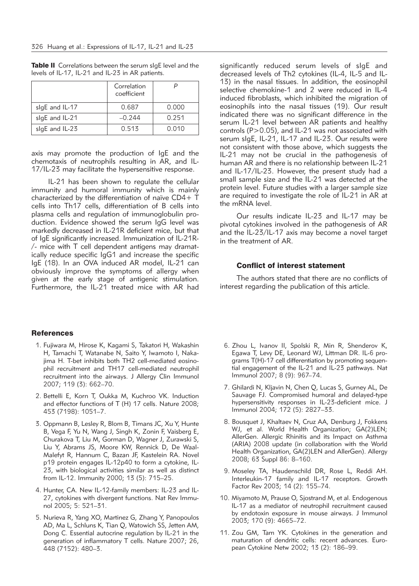|                | Correlation<br>coefficient |       |
|----------------|----------------------------|-------|
| sigE and IL-17 | 0.687                      | 0.000 |
| slgE and IL-21 | $-0.244$                   | 0.251 |
| sigE and IL-23 | 0.513                      | 0.010 |

Table II Correlations between the serum sIgE level and the levels of IL-17, IL-21 and IL-23 in AR patients.

axis may promote the production of IgE and the chemotaxis of neutrophils resulting in AR, and IL-17/IL-23 may facilitate the hypersensitive response.

IL-21 has been shown to regulate the cellular immunity and humoral immunity which is mainly characterized by the differentiation of naïve CD4+ T cells into Th17 cells, differentiation of B cells into plasma cells and regulation of immunoglobulin production. Evidence showed the serum IgG level was markedly decreased in IL-21R deficient mice, but that of IgE significantly increased. Immunization of IL-21R-  $/$ - mice with T cell dependent antigens may dramatically reduce specific IgG1 and increase the specific IgE (18). In an OVA induced AR model, IL-21 can obviously improve the symptoms of allergy when given at the early stage of antigenic stimulation. Furthermore, the IL-21 treated mice with AR had

# **References**

- 1. Fujiwara M, Hirose K, Kagami S, Takatori H, Wakashin H, Tamachi T, Watanabe N, Saito Y, Iwamoto I, Nakajima H. T-bet inhibits both TH2 cell-mediated eosinophil recruitment and TH17 cell-mediated neutrophil recruitment into the airways. J Allergy Clin Immunol 2007; 119 (3): 662–70.
- 2. Bettelli E, Korn T, Oukka M, Kuchroo VK. Induction and effector functions of T (H) 17 cells. Nature 2008; 453 (7198): 1051–7.
- 3. Oppmann B, Lesley R, Blom B, Timans JC, Xu Y, Hunte B, Vega F, Yu N, Wang J, Singh K, Zonin F, Vaisberg E, Churakova T, Liu M, Gorman D, Wagner J, Zurawski S, Liu Y, Abrams JS, Moore KW, Rennick D, De Waal-Malefyt R, Hannum C, Bazan JF, Kastelein RA. Novel p19 protein engages IL-12p40 to form a cytokine, IL-23, with biological activities similar as well as distinct from IL-12. Immunity 2000; 13 (5): 715–25.
- 4. Hunter, CA. New IL-12-family members: IL-23 and IL-27, cytokines with divergent functions. Nat Rev Immunol 2005; 5: 521–31.
- 5. Nurieva R, Yang XO, Martinez G, Zhang Y, Panopoulos AD, Ma L, Schluns K, Tian Q, Watowich SS, Jetten AM, Dong C. Essential autocrine regulation by IL-21 in the generation of inflammatory T cells. Nature 2007; 26, 448 (7152): 480–3.

significantly reduced serum levels of sIgE and decreased levels of Th2 cytokines (IL-4, IL-5 and IL-13) in the nasal tissues. In addition, the eosinophil selective chemokine-1 and 2 were reduced in IL-4 induced fibroblasts, which inhibited the migration of eosinophils into the nasal tissues (19). Our result indicated there was no significant difference in the serum IL-21 level between AR patients and healthy controls (P>0.05), and IL-21 was not associated with serum sIgE, IL-21, IL-17 and IL-23. Our results were not consistent with those above, which suggests the IL-21 may not be crucial in the pathogenesis of human AR and there is no relationship between IL-21 and IL-17/IL-23. However, the present study had a small sample size and the IL-21 was detected at the protein level. Future studies with a larger sample size are required to investigate the role of IL-21 in AR at the mRNA level.

Our results indicate IL-23 and IL-17 may be pivotal cytokines involved in the pathogenesis of AR and the IL-23/IL-17 axis may become a novel target in the treatment of AR.

# Conflict of interest statement

The authors stated that there are no conflicts of interest regarding the publication of this article.

- 6. Zhou L, Ivanov II, Spolski R, Min R, Shenderov K, Egawa T, Levy DE, Leonard WJ, Littman DR. IL-6 programs T(H)-17 cell differentiation by promoting sequential engagement of the IL-21 and IL-23 pathways. Nat Immunol 2007; 8 (9): 967–74.
- 7. Ghilardi N, Kljavin N, Chen Q, Lucas S, Gurney AL, De Sauvage FJ. Compromised humoral and delayed-type hypersensitivity responses in IL-23-deficient mice. J Immunol 2004; 172 (5): 2827–33.
- 8. Bousquet J, Khaltaev N, Cruz AA, Denburg J, Fokkens WJ, et al. World Health Organization; GA(2)LEN; AllerGen. Allergic Rhinitis and its Impact on Asthma (ARIA) 2008 update (in collaboration with the World Health Organization, GA(2)LEN and AllerGen). Allergy 2008; 63 Suppl 86: 8–160.
- 9. Moseley TA, Haudenschild DR, Rose L, Reddi AH. Interleukin-17 family and IL-17 receptors. Growth Factor Rev 2003; 14 (2): 155–74.
- 10. Miyamoto M, Prause O, Sjostrand M, et al. Endogenous IL-17 as a mediator of neutrophil recruitment caused by endotoxin exposure in mouse airways. J Immunol 2003; 170 (9): 4665–72.
- 11. Zou GM, Tam YK. Cytokines in the generation and maturation of dendritic cells: recent advances. European Cytokine Netw 2002; 13 (2): 186–99.